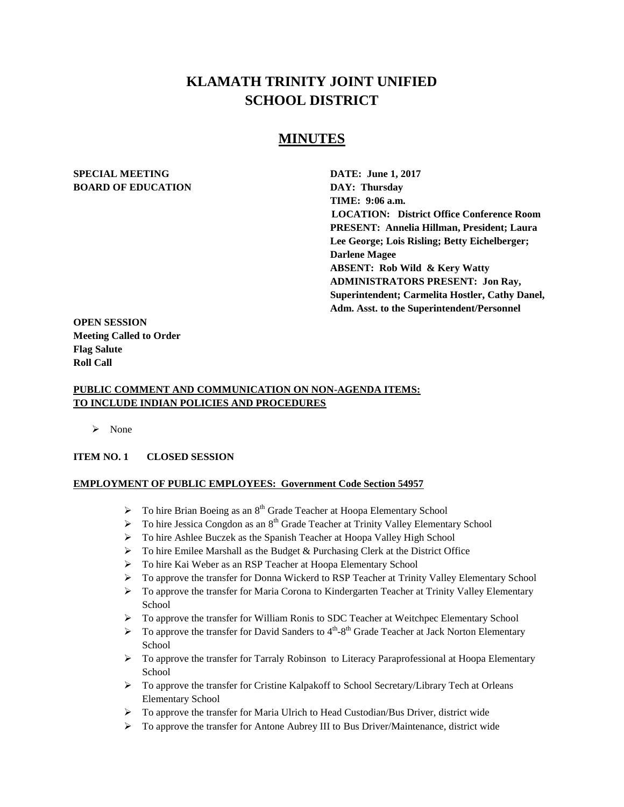# **KLAMATH TRINITY JOINT UNIFIED SCHOOL DISTRICT**

# **MINUTES**

### **SPECIAL MEETING DATE: June 1, 2017 BOARD OF EDUCATION DAY: Thursday**

**TIME: 9:06 a.m. LOCATION: District Office Conference Room PRESENT: Annelia Hillman, President; Laura Lee George; Lois Risling; Betty Eichelberger; Darlene Magee ABSENT: Rob Wild & Kery Watty ADMINISTRATORS PRESENT: Jon Ray, Superintendent; Carmelita Hostler, Cathy Danel, Adm. Asst. to the Superintendent/Personnel** 

**OPEN SESSION Meeting Called to Order Flag Salute Roll Call**

### **PUBLIC COMMENT AND COMMUNICATION ON NON-AGENDA ITEMS: TO INCLUDE INDIAN POLICIES AND PROCEDURES**

 $\triangleright$  None

### **ITEM NO. 1 CLOSED SESSION**

### **EMPLOYMENT OF PUBLIC EMPLOYEES: Government Code Section 54957**

- $\triangleright$  To hire Brian Boeing as an 8<sup>th</sup> Grade Teacher at Hoopa Elementary School
- $\triangleright$  To hire Jessica Congdon as an  $8<sup>th</sup>$  Grade Teacher at Trinity Valley Elementary School
- To hire Ashlee Buczek as the Spanish Teacher at Hoopa Valley High School
- $\triangleright$  To hire Emilee Marshall as the Budget & Purchasing Clerk at the District Office
- To hire Kai Weber as an RSP Teacher at Hoopa Elementary School
- ▶ To approve the transfer for Donna Wickerd to RSP Teacher at Trinity Valley Elementary School
- $\triangleright$  To approve the transfer for Maria Corona to Kindergarten Teacher at Trinity Valley Elementary School
- $\triangleright$  To approve the transfer for William Ronis to SDC Teacher at Weitchpec Elementary School
- $\triangleright$  To approve the transfer for David Sanders to 4<sup>th</sup>-8<sup>th</sup> Grade Teacher at Jack Norton Elementary School
- $\triangleright$  To approve the transfer for Tarraly Robinson to Literacy Paraprofessional at Hoopa Elementary School
- $\triangleright$  To approve the transfer for Cristine Kalpakoff to School Secretary/Library Tech at Orleans Elementary School
- $\triangleright$  To approve the transfer for Maria Ulrich to Head Custodian/Bus Driver, district wide
- $\triangleright$  To approve the transfer for Antone Aubrey III to Bus Driver/Maintenance, district wide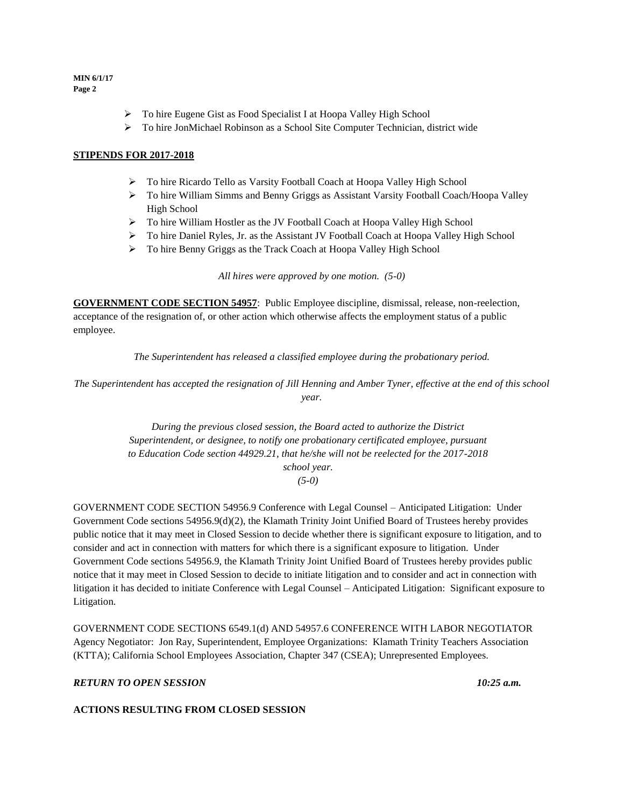- To hire Eugene Gist as Food Specialist I at Hoopa Valley High School
- To hire JonMichael Robinson as a School Site Computer Technician, district wide

### **STIPENDS FOR 2017-2018**

- To hire Ricardo Tello as Varsity Football Coach at Hoopa Valley High School
- To hire William Simms and Benny Griggs as Assistant Varsity Football Coach/Hoopa Valley High School
- To hire William Hostler as the JV Football Coach at Hoopa Valley High School
- To hire Daniel Ryles, Jr. as the Assistant JV Football Coach at Hoopa Valley High School
- > To hire Benny Griggs as the Track Coach at Hoopa Valley High School

*All hires were approved by one motion. (5-0)*

**GOVERNMENT CODE SECTION 54957**: Public Employee discipline, dismissal, release, non-reelection, acceptance of the resignation of, or other action which otherwise affects the employment status of a public employee.

*The Superintendent has released a classified employee during the probationary period.*

*The Superintendent has accepted the resignation of Jill Henning and Amber Tyner, effective at the end of this school year.* 

> *During the previous closed session, the Board acted to authorize the District Superintendent, or designee, to notify one probationary certificated employee, pursuant to Education Code section 44929.21, that he/she will not be reelected for the 2017-2018 school year. (5-0)*

GOVERNMENT CODE SECTION 54956.9 Conference with Legal Counsel – Anticipated Litigation: Under Government Code sections 54956.9(d)(2), the Klamath Trinity Joint Unified Board of Trustees hereby provides public notice that it may meet in Closed Session to decide whether there is significant exposure to litigation, and to consider and act in connection with matters for which there is a significant exposure to litigation. Under Government Code sections 54956.9, the Klamath Trinity Joint Unified Board of Trustees hereby provides public notice that it may meet in Closed Session to decide to initiate litigation and to consider and act in connection with litigation it has decided to initiate Conference with Legal Counsel – Anticipated Litigation: Significant exposure to Litigation.

GOVERNMENT CODE SECTIONS 6549.1(d) AND 54957.6 CONFERENCE WITH LABOR NEGOTIATOR Agency Negotiator: Jon Ray, Superintendent, Employee Organizations: Klamath Trinity Teachers Association (KTTA); California School Employees Association, Chapter 347 (CSEA); Unrepresented Employees.

*RETURN TO OPEN SESSION 10:25 a.m.*

### **ACTIONS RESULTING FROM CLOSED SESSION**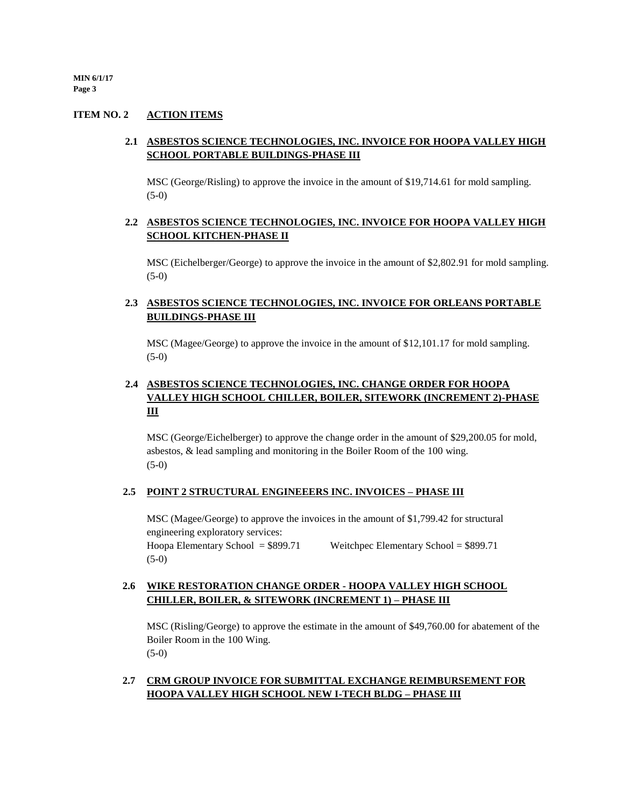### **ITEM NO. 2 ACTION ITEMS**

### **2.1 ASBESTOS SCIENCE TECHNOLOGIES, INC. INVOICE FOR HOOPA VALLEY HIGH SCHOOL PORTABLE BUILDINGS-PHASE III**

MSC (George/Risling) to approve the invoice in the amount of \$19,714.61 for mold sampling. (5-0)

### **2.2 ASBESTOS SCIENCE TECHNOLOGIES, INC. INVOICE FOR HOOPA VALLEY HIGH SCHOOL KITCHEN-PHASE II**

MSC (Eichelberger/George) to approve the invoice in the amount of \$2,802.91 for mold sampling. (5-0)

### **2.3 ASBESTOS SCIENCE TECHNOLOGIES, INC. INVOICE FOR ORLEANS PORTABLE BUILDINGS-PHASE III**

MSC (Magee/George) to approve the invoice in the amount of \$12,101.17 for mold sampling. (5-0)

## **2.4 ASBESTOS SCIENCE TECHNOLOGIES, INC. CHANGE ORDER FOR HOOPA VALLEY HIGH SCHOOL CHILLER, BOILER, SITEWORK (INCREMENT 2)-PHASE III**

MSC (George/Eichelberger) to approve the change order in the amount of \$29,200.05 for mold, asbestos, & lead sampling and monitoring in the Boiler Room of the 100 wing. (5-0)

#### **2.5 POINT 2 STRUCTURAL ENGINEEERS INC. INVOICES – PHASE III**

MSC (Magee/George) to approve the invoices in the amount of \$1,799.42 for structural engineering exploratory services: Hoopa Elementary School = \$899.71 Weitchpec Elementary School = \$899.71 (5-0)

### **2.6 WIKE RESTORATION CHANGE ORDER - HOOPA VALLEY HIGH SCHOOL CHILLER, BOILER, & SITEWORK (INCREMENT 1) – PHASE III**

MSC (Risling/George) to approve the estimate in the amount of \$49,760.00 for abatement of the Boiler Room in the 100 Wing. (5-0)

### **2.7 CRM GROUP INVOICE FOR SUBMITTAL EXCHANGE REIMBURSEMENT FOR HOOPA VALLEY HIGH SCHOOL NEW I-TECH BLDG – PHASE III**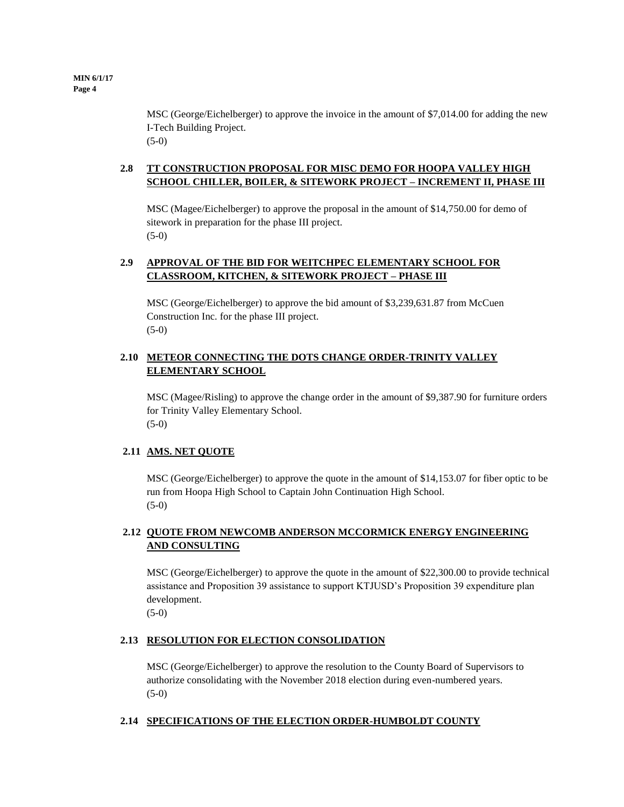MSC (George/Eichelberger) to approve the invoice in the amount of \$7,014.00 for adding the new I-Tech Building Project. (5-0)

### **2.8 TT CONSTRUCTION PROPOSAL FOR MISC DEMO FOR HOOPA VALLEY HIGH SCHOOL CHILLER, BOILER, & SITEWORK PROJECT – INCREMENT II, PHASE III**

MSC (Magee/Eichelberger) to approve the proposal in the amount of \$14,750.00 for demo of sitework in preparation for the phase III project. (5-0)

### **2.9 APPROVAL OF THE BID FOR WEITCHPEC ELEMENTARY SCHOOL FOR CLASSROOM, KITCHEN, & SITEWORK PROJECT – PHASE III**

MSC (George/Eichelberger) to approve the bid amount of \$3,239,631.87 from McCuen Construction Inc. for the phase III project. (5-0)

### **2.10 METEOR CONNECTING THE DOTS CHANGE ORDER-TRINITY VALLEY ELEMENTARY SCHOOL**

MSC (Magee/Risling) to approve the change order in the amount of \$9,387.90 for furniture orders for Trinity Valley Elementary School. (5-0)

### **2.11 AMS. NET QUOTE**

MSC (George/Eichelberger) to approve the quote in the amount of \$14,153.07 for fiber optic to be run from Hoopa High School to Captain John Continuation High School. (5-0)

### **2.12 QUOTE FROM NEWCOMB ANDERSON MCCORMICK ENERGY ENGINEERING AND CONSULTING**

MSC (George/Eichelberger) to approve the quote in the amount of \$22,300.00 to provide technical assistance and Proposition 39 assistance to support KTJUSD's Proposition 39 expenditure plan development.

 $(5-0)$ 

### **2.13 RESOLUTION FOR ELECTION CONSOLIDATION**

MSC (George/Eichelberger) to approve the resolution to the County Board of Supervisors to authorize consolidating with the November 2018 election during even-numbered years. (5-0)

### **2.14 SPECIFICATIONS OF THE ELECTION ORDER-HUMBOLDT COUNTY**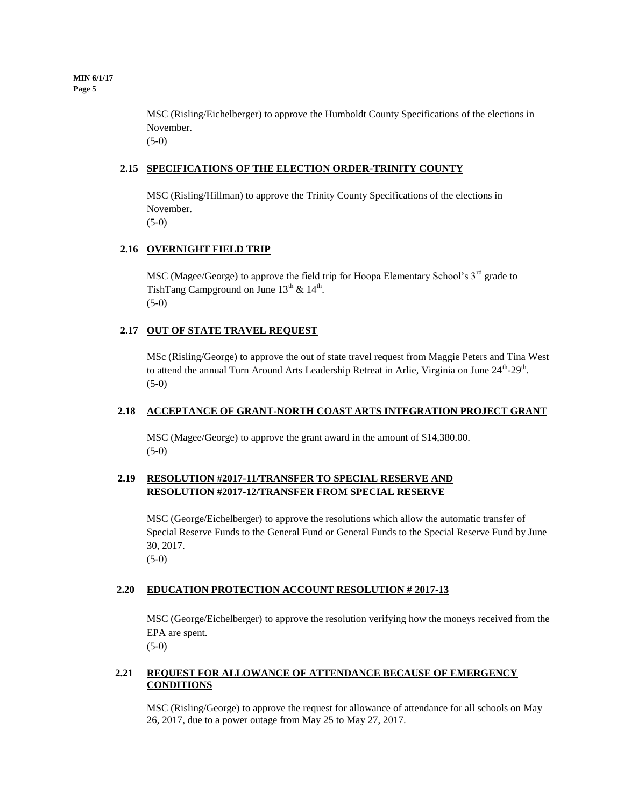> MSC (Risling/Eichelberger) to approve the Humboldt County Specifications of the elections in November. (5-0)

### **2.15 SPECIFICATIONS OF THE ELECTION ORDER-TRINITY COUNTY**

MSC (Risling/Hillman) to approve the Trinity County Specifications of the elections in November.

(5-0)

### **2.16 OVERNIGHT FIELD TRIP**

MSC (Magee/George) to approve the field trip for Hoopa Elementary School's 3<sup>rd</sup> grade to TishTang Campground on June  $13^{th}$  &  $14^{th}$ . (5-0)

### **2.17 OUT OF STATE TRAVEL REQUEST**

MSc (Risling/George) to approve the out of state travel request from Maggie Peters and Tina West to attend the annual Turn Around Arts Leadership Retreat in Arlie, Virginia on June 24<sup>th</sup>-29<sup>th</sup>. (5-0)

### **2.18 ACCEPTANCE OF GRANT-NORTH COAST ARTS INTEGRATION PROJECT GRANT**

MSC (Magee/George) to approve the grant award in the amount of \$14,380.00. (5-0)

### **2.19 RESOLUTION #2017-11/TRANSFER TO SPECIAL RESERVE AND RESOLUTION #2017-12/TRANSFER FROM SPECIAL RESERVE**

MSC (George/Eichelberger) to approve the resolutions which allow the automatic transfer of Special Reserve Funds to the General Fund or General Funds to the Special Reserve Fund by June 30, 2017.

(5-0)

### **2.20 EDUCATION PROTECTION ACCOUNT RESOLUTION # 2017-13**

MSC (George/Eichelberger) to approve the resolution verifying how the moneys received from the EPA are spent.

 $(5-0)$ 

### **2.21 REQUEST FOR ALLOWANCE OF ATTENDANCE BECAUSE OF EMERGENCY CONDITIONS**

MSC (Risling/George) to approve the request for allowance of attendance for all schools on May 26, 2017, due to a power outage from May 25 to May 27, 2017.